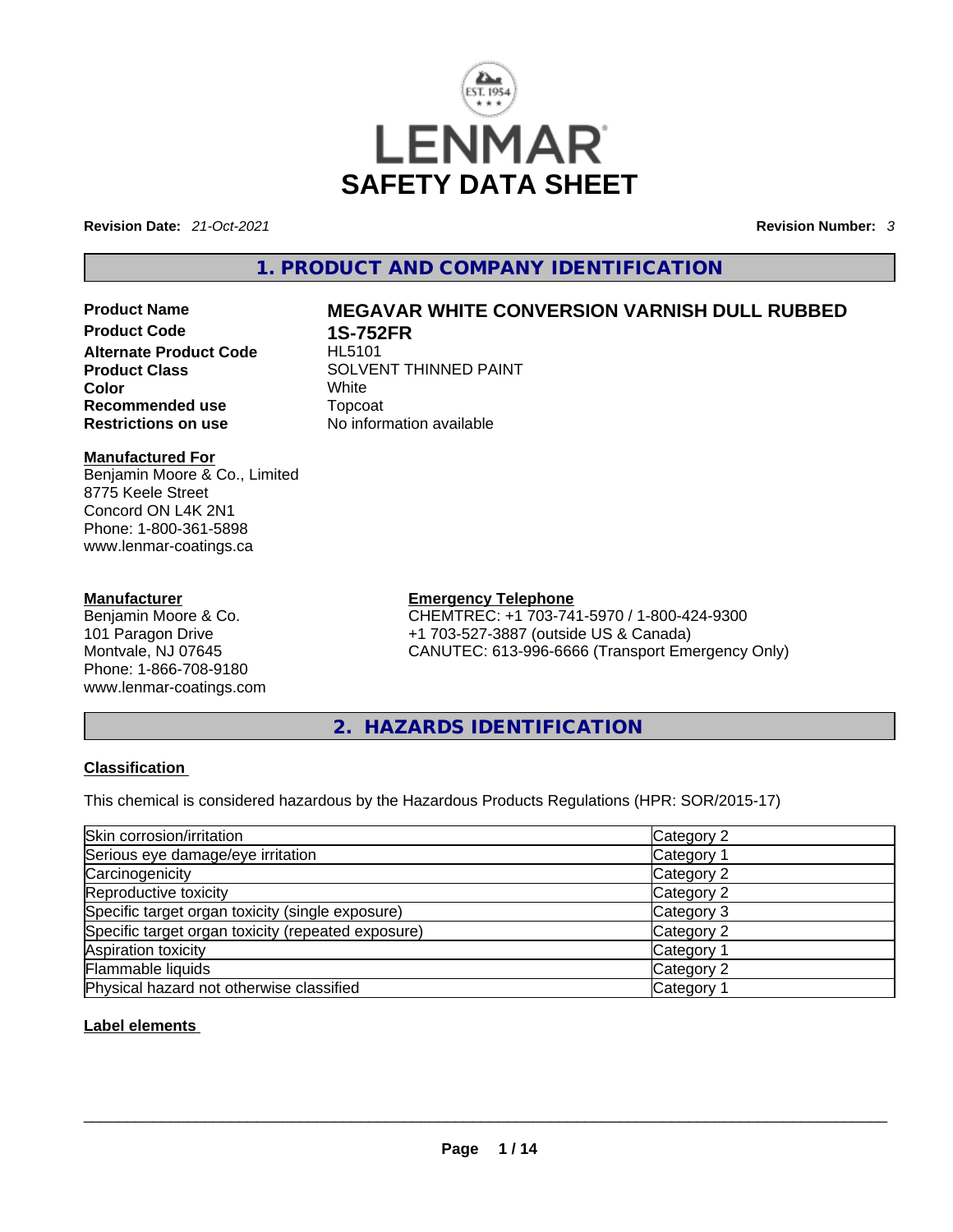

**Revision Date:** *21-Oct-2021* **Revision Number:** *3*

# **1. PRODUCT AND COMPANY IDENTIFICATION**

**Alternate Product Code Color** White **Recommended use** Topcoat **Restrictions on use** No information available

# **Manufactured For**

Benjamin Moore & Co., Limited 8775 Keele Street Concord ON L4K 2N1 Phone: 1-800-361-5898 www.lenmar-coatings.ca

# **Manufacturer**

Benjamin Moore & Co. 101 Paragon Drive Montvale, NJ 07645 Phone: 1-866-708-9180 www.lenmar-coatings.com

# **Product Name MEGAVAR WHITE CONVERSION VARNISH DULL RUBBED**

**1S-752FR**<br>HL5101 **Product Class SOLVENT THINNED PAINT** 

**Emergency Telephone**

CHEMTREC: +1 703-741-5970 / 1-800-424-9300 +1 703-527-3887 (outside US & Canada) CANUTEC: 613-996-6666 (Transport Emergency Only)

**2. HAZARDS IDENTIFICATION** 

# **Classification**

This chemical is considered hazardous by the Hazardous Products Regulations (HPR: SOR/2015-17)

| Skin corrosion/irritation                          | Category 2 |
|----------------------------------------------------|------------|
| Serious eye damage/eye irritation                  | Category 1 |
| Carcinogenicity                                    | Category 2 |
| Reproductive toxicity                              | Category 2 |
| Specific target organ toxicity (single exposure)   | Category 3 |
| Specific target organ toxicity (repeated exposure) | Category 2 |
| Aspiration toxicity                                | Category 1 |
| Flammable liquids                                  | Category 2 |
| Physical hazard not otherwise classified           | Category 1 |

# **Label elements**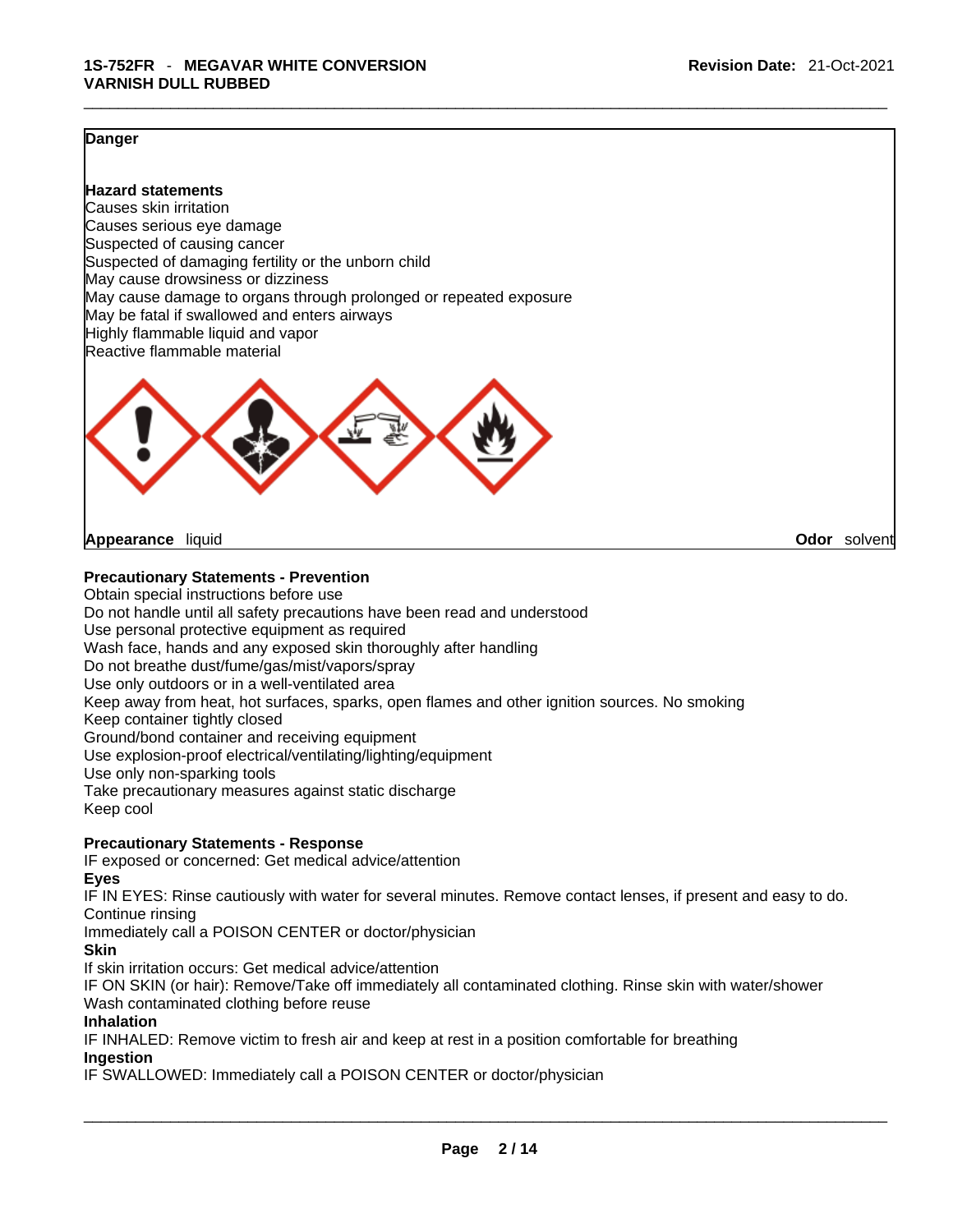## **Danger**

**Hazard statements** Causes skin irritation Causes serious eye damage Suspected of causing cancer Suspected of damaging fertility or the unborn child May cause drowsiness or dizziness May cause damage to organs through prolonged or repeated exposure May be fatal if swallowed and enters airways Highly flammable liquid and vapor Reactive flammable material



**Appearance** liquid **Odor** *Solvent* **Appearance Contract Appearance Odor** solvent

# **Precautionary Statements - Prevention**

Obtain special instructions before use Do not handle until all safety precautions have been read and understood Use personal protective equipment as required Wash face, hands and any exposed skin thoroughly after handling Do not breathe dust/fume/gas/mist/vapors/spray Use only outdoors or in a well-ventilated area Keep away from heat, hot surfaces, sparks, open flames and other ignition sources. No smoking Keep container tightly closed Ground/bond container and receiving equipment Use explosion-proof electrical/ventilating/lighting/equipment Use only non-sparking tools Take precautionary measures against static discharge Keep cool

# **Precautionary Statements - Response**

IF exposed or concerned: Get medical advice/attention

**Eyes**

IF IN EYES: Rinse cautiously with water for several minutes. Remove contact lenses, if present and easy to do. Continue rinsing

Immediately call a POISON CENTER or doctor/physician

# **Skin**

If skin irritation occurs: Get medical advice/attention

IF ON SKIN (or hair): Remove/Take off immediately all contaminated clothing. Rinse skin with water/shower Wash contaminated clothing before reuse

# **Inhalation**

IF INHALED: Remove victim to fresh air and keep at rest in a position comfortable for breathing **Ingestion**

IF SWALLOWED: Immediately call a POISON CENTER or doctor/physician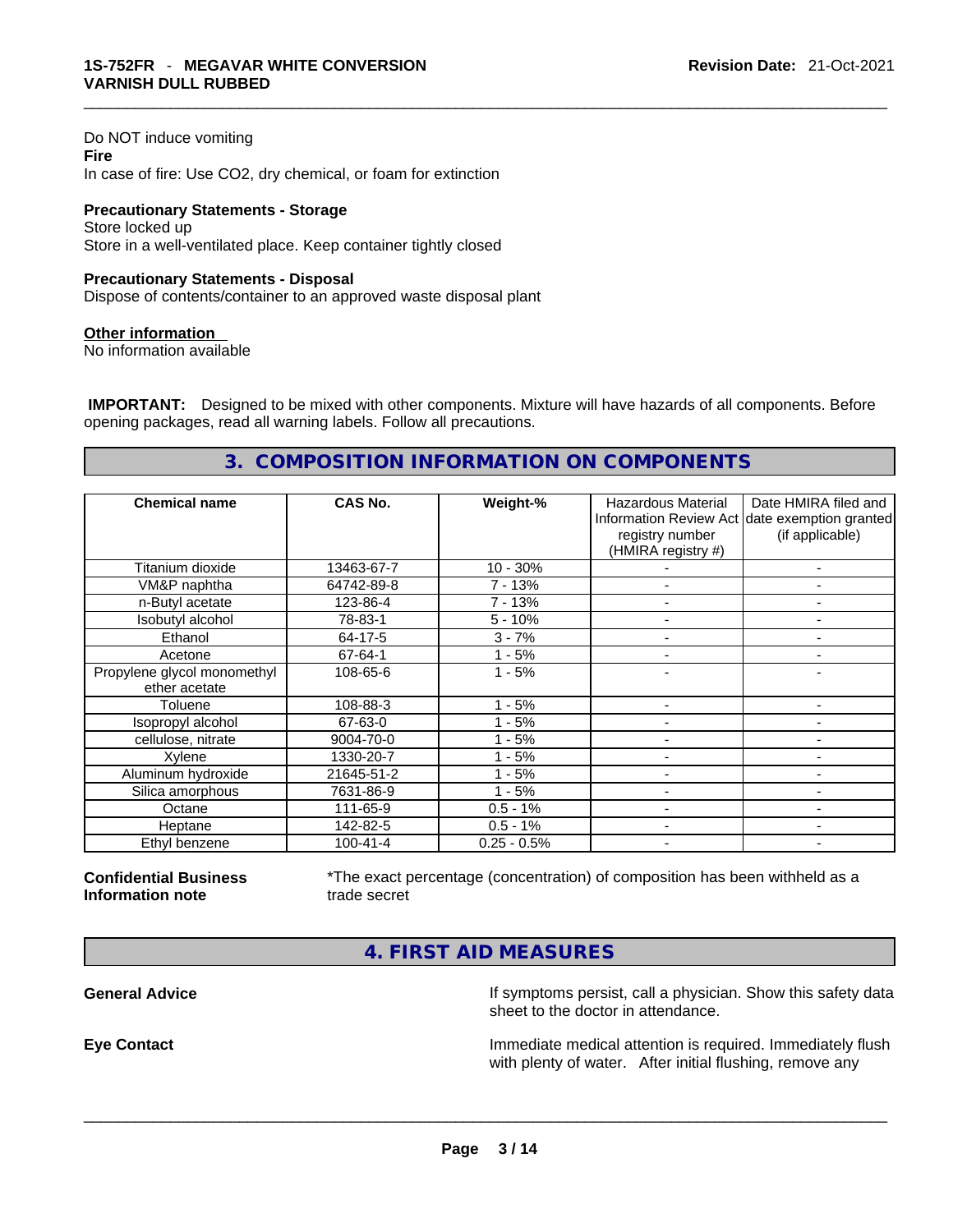Do NOT induce vomiting **Fire** In case of fire: Use CO2, dry chemical, or foam for extinction

**Precautionary Statements - Storage** Store locked up Store in a well-ventilated place. Keep container tightly closed

### **Precautionary Statements - Disposal**

Dispose of contents/container to an approved waste disposal plant

### **Other information**

No information available

 **IMPORTANT:** Designed to be mixed with other components. Mixture will have hazards of all components. Before opening packages, read all warning labels. Follow all precautions.

# **3. COMPOSITION INFORMATION ON COMPONENTS**

| <b>Chemical name</b>                         | CAS No.        | Weight-%      | Hazardous Material<br>registry number<br>(HMIRA registry #) | Date HMIRA filed and<br>Information Review Act date exemption granted<br>(if applicable) |
|----------------------------------------------|----------------|---------------|-------------------------------------------------------------|------------------------------------------------------------------------------------------|
| Titanium dioxide                             | 13463-67-7     | $10 - 30%$    |                                                             | -                                                                                        |
| VM&P naphtha                                 | 64742-89-8     | 7 - 13%       |                                                             |                                                                                          |
| n-Butyl acetate                              | 123-86-4       | 7 - 13%       |                                                             |                                                                                          |
| Isobutyl alcohol                             | 78-83-1        | $5 - 10%$     |                                                             |                                                                                          |
| Ethanol                                      | 64-17-5        | $3 - 7%$      | $\overline{a}$                                              | ٠                                                                                        |
| Acetone                                      | 67-64-1        | $1 - 5%$      |                                                             |                                                                                          |
| Propylene glycol monomethyl<br>ether acetate | 108-65-6       | $1 - 5%$      |                                                             |                                                                                          |
| Toluene                                      | 108-88-3       | $1 - 5%$      |                                                             |                                                                                          |
| Isopropyl alcohol                            | 67-63-0        | $1 - 5%$      |                                                             |                                                                                          |
| cellulose, nitrate                           | 9004-70-0      | 1 - 5%        |                                                             |                                                                                          |
| Xylene                                       | 1330-20-7      | $1 - 5%$      |                                                             | $\overline{\phantom{0}}$                                                                 |
| Aluminum hydroxide                           | 21645-51-2     | $1 - 5%$      |                                                             | -                                                                                        |
| Silica amorphous                             | 7631-86-9      | $1 - 5%$      |                                                             |                                                                                          |
| Octane                                       | 111-65-9       | $0.5 - 1%$    |                                                             |                                                                                          |
| Heptane                                      | 142-82-5       | $0.5 - 1%$    |                                                             | $\overline{\phantom{0}}$                                                                 |
| Ethyl benzene                                | $100 - 41 - 4$ | $0.25 - 0.5%$ |                                                             | ۰                                                                                        |

**Confidential Business Information note**

\*The exact percentage (concentration) of composition has been withheld as a trade secret

**4. FIRST AID MEASURES** 

**General Advice If** symptoms persist, call a physician. Show this safety data sheet to the doctor in attendance.

**Eye Contact Immediate medical attention is required. Immediately flush** Immediately flush with plenty of water. After initial flushing, remove any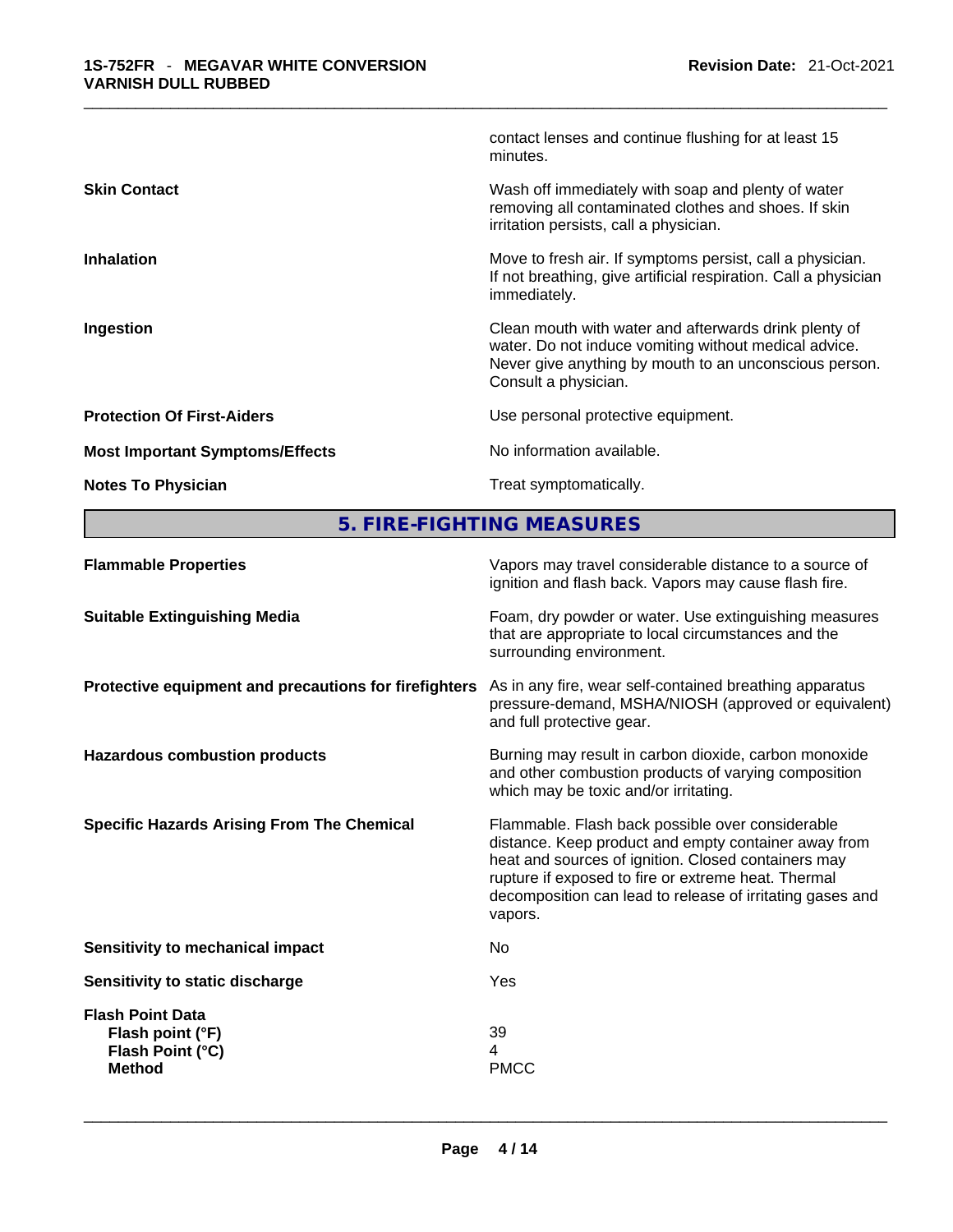|                                        | contact lenses and continue flushing for at least 15<br>minutes.                                                                                                                                 |
|----------------------------------------|--------------------------------------------------------------------------------------------------------------------------------------------------------------------------------------------------|
| <b>Skin Contact</b>                    | Wash off immediately with soap and plenty of water<br>removing all contaminated clothes and shoes. If skin<br>irritation persists, call a physician.                                             |
| <b>Inhalation</b>                      | Move to fresh air. If symptoms persist, call a physician.<br>If not breathing, give artificial respiration. Call a physician<br>immediately.                                                     |
| Ingestion                              | Clean mouth with water and afterwards drink plenty of<br>water. Do not induce vomiting without medical advice.<br>Never give anything by mouth to an unconscious person.<br>Consult a physician. |
| <b>Protection Of First-Aiders</b>      | Use personal protective equipment.                                                                                                                                                               |
| <b>Most Important Symptoms/Effects</b> | No information available.                                                                                                                                                                        |
| <b>Notes To Physician</b>              | Treat symptomatically.                                                                                                                                                                           |
|                                        |                                                                                                                                                                                                  |

**5. FIRE-FIGHTING MEASURES** 

| <b>Flammable Properties</b>                                     | Vapors may travel considerable distance to a source of<br>ignition and flash back. Vapors may cause flash fire.                                                                                                                                                                                |
|-----------------------------------------------------------------|------------------------------------------------------------------------------------------------------------------------------------------------------------------------------------------------------------------------------------------------------------------------------------------------|
| <b>Suitable Extinguishing Media</b>                             | Foam, dry powder or water. Use extinguishing measures<br>that are appropriate to local circumstances and the<br>surrounding environment.                                                                                                                                                       |
| Protective equipment and precautions for firefighters           | As in any fire, wear self-contained breathing apparatus<br>pressure-demand, MSHA/NIOSH (approved or equivalent)<br>and full protective gear.                                                                                                                                                   |
| <b>Hazardous combustion products</b>                            | Burning may result in carbon dioxide, carbon monoxide<br>and other combustion products of varying composition<br>which may be toxic and/or irritating.                                                                                                                                         |
| <b>Specific Hazards Arising From The Chemical</b>               | Flammable. Flash back possible over considerable<br>distance. Keep product and empty container away from<br>heat and sources of ignition. Closed containers may<br>rupture if exposed to fire or extreme heat. Thermal<br>decomposition can lead to release of irritating gases and<br>vapors. |
| <b>Sensitivity to mechanical impact</b>                         | No.                                                                                                                                                                                                                                                                                            |
| Sensitivity to static discharge                                 | Yes                                                                                                                                                                                                                                                                                            |
| <b>Flash Point Data</b><br>Flash point (°F)<br>Flash Point (°C) | 39<br>4                                                                                                                                                                                                                                                                                        |
| <b>Method</b>                                                   | <b>PMCC</b>                                                                                                                                                                                                                                                                                    |
|                                                                 |                                                                                                                                                                                                                                                                                                |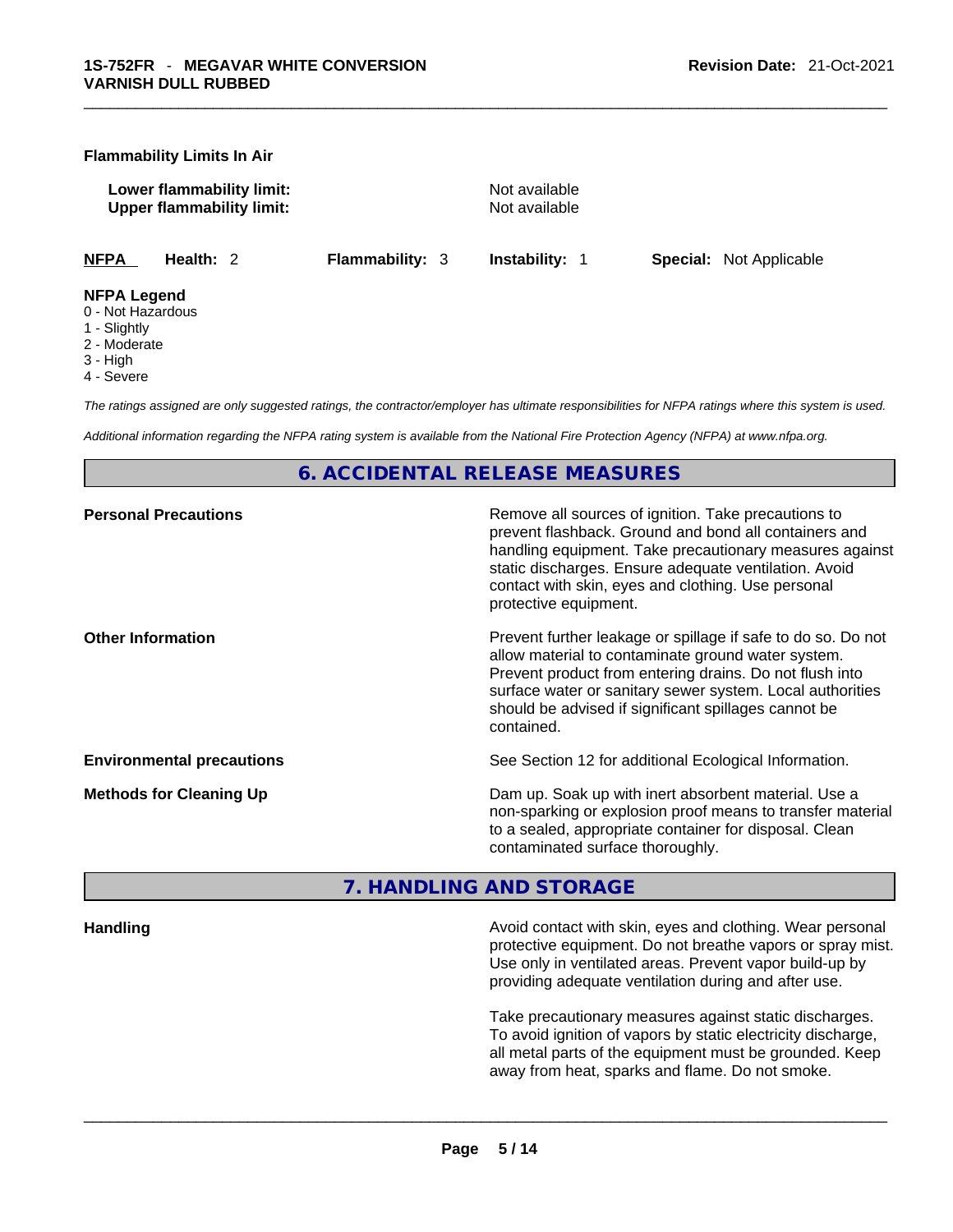#### **Flammability Limits In Air**

**Lower flammability limit:**<br> **Commability limit:** Not available<br>
Upper flammability limit: **Upper flammability limit:** 

**NFPA Health:** 2 **Flammability:** 3 **Instability:** 1 **Special:** Not Applicable

#### **NFPA Legend**

- 0 Not Hazardous
- 1 Slightly
- 2 Moderate
- 3 High
- 4 Severe

*The ratings assigned are only suggested ratings, the contractor/employer has ultimate responsibilities for NFPA ratings where this system is used.* 

*Additional information regarding the NFPA rating system is available from the National Fire Protection Agency (NFPA) at www.nfpa.org.* 

# **6. ACCIDENTAL RELEASE MEASURES**

| Remove all sources of ignition. Take precautions to<br>prevent flashback. Ground and bond all containers and<br>handling equipment. Take precautionary measures against<br>static discharges. Ensure adequate ventilation. Avoid<br>contact with skin, eyes and clothing. Use personal<br>protective equipment.  |
|------------------------------------------------------------------------------------------------------------------------------------------------------------------------------------------------------------------------------------------------------------------------------------------------------------------|
| Prevent further leakage or spillage if safe to do so. Do not<br>allow material to contaminate ground water system.<br>Prevent product from entering drains. Do not flush into<br>surface water or sanitary sewer system. Local authorities<br>should be advised if significant spillages cannot be<br>contained. |
| See Section 12 for additional Ecological Information.                                                                                                                                                                                                                                                            |
| Dam up. Soak up with inert absorbent material. Use a<br>non-sparking or explosion proof means to transfer material<br>to a sealed, appropriate container for disposal. Clean<br>contaminated surface thoroughly.                                                                                                 |
|                                                                                                                                                                                                                                                                                                                  |

# **7. HANDLING AND STORAGE**

**Handling** Avoid contact with skin, eyes and clothing. Wear personal protective equipment. Do not breathe vapors or spray mist. Use only in ventilated areas. Prevent vapor build-up by providing adequate ventilation during and after use.

Take precautionary measures against static discharges. To avoid ignition of vapors by static electricity discharge, all metal parts of the equipment must be grounded. Keep away from heat, sparks and flame. Do not smoke.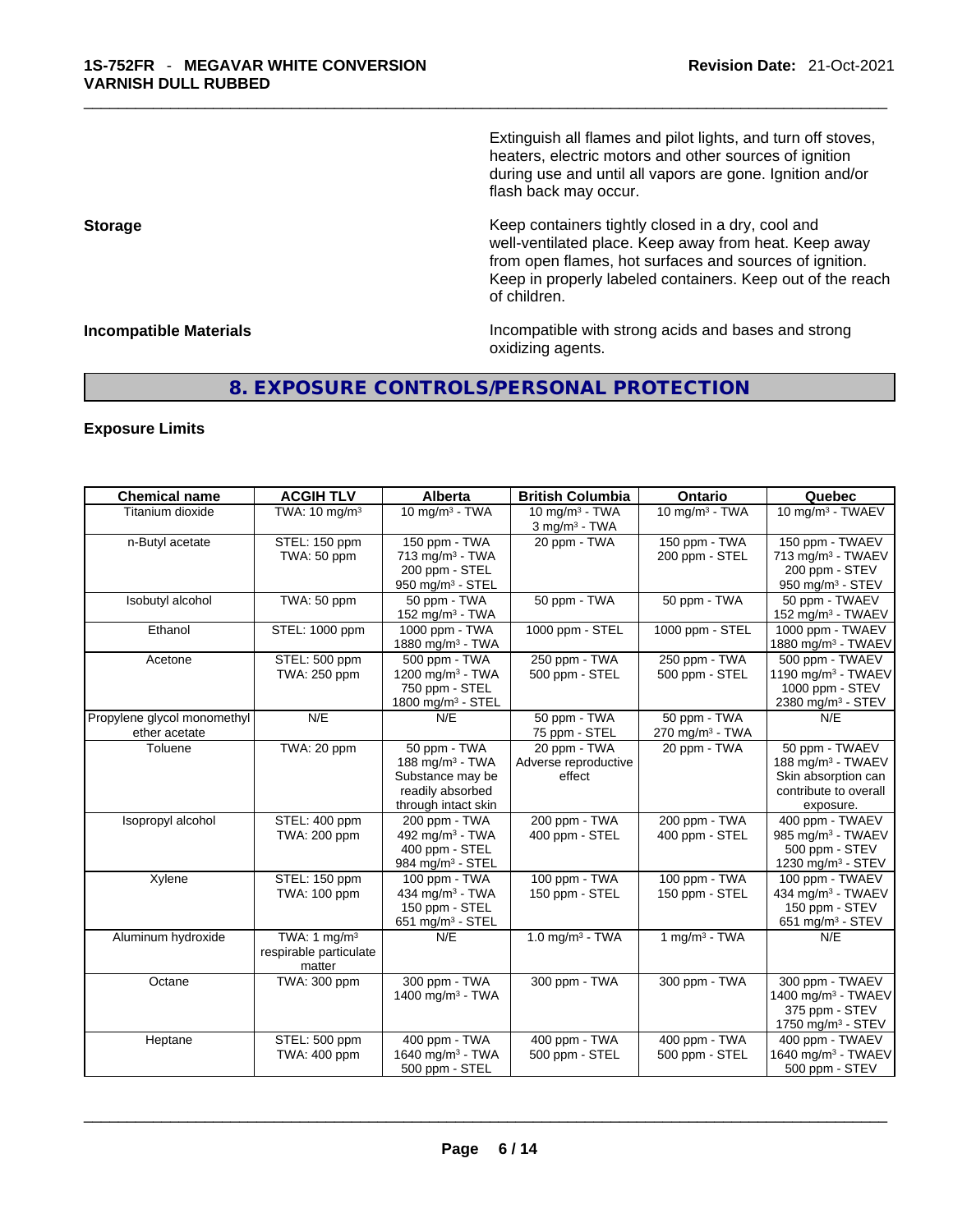Extinguish all flames and pilot lights, and turn off stoves, heaters, electric motors and other sources of ignition during use and until all vapors are gone. Ignition and/or flash back may occur.

**Storage Storage Keep containers tightly closed in a dry, cool and** well-ventilated place. Keep away from heat. Keep away from open flames, hot surfaces and sources of ignition. Keep in properly labeled containers. Keep out of the reach of children.

**Incompatible Materials Incompatible with strong acids and bases and strong** oxidizing agents.

# **8. EXPOSURE CONTROLS/PERSONAL PROTECTION**

# **Exposure Limits**

| <b>Chemical name</b>                         | <b>ACGIH TLV</b>                                   | Alberta                                                                                                    | <b>British Columbia</b>                                     | Ontario                                     | Quebec                                                                                                       |
|----------------------------------------------|----------------------------------------------------|------------------------------------------------------------------------------------------------------------|-------------------------------------------------------------|---------------------------------------------|--------------------------------------------------------------------------------------------------------------|
| Titanium dioxide                             | TWA: 10 mg/m <sup>3</sup>                          | $10$ mg/m <sup>3</sup> - TWA                                                                               | $10$ mg/m <sup>3</sup> - TWA<br>$3$ mg/m <sup>3</sup> - TWA | $10$ mg/m <sup>3</sup> - TWA                | 10 mg/m <sup>3</sup> - TWAEV                                                                                 |
| n-Butyl acetate                              | STEL: 150 ppm<br>TWA: 50 ppm                       | 150 ppm - TWA<br>$713$ mg/m <sup>3</sup> - TWA<br>200 ppm - STEL<br>950 mg/m $3 -$ STEL                    | 20 ppm - TWA                                                | 150 ppm - TWA<br>200 ppm - STEL             | 150 ppm - TWAEV<br>713 mg/m <sup>3</sup> - TWAEV<br>200 ppm - STEV<br>950 mg/m <sup>3</sup> - STEV           |
| Isobutyl alcohol                             | TWA: 50 ppm                                        | 50 ppm - TWA<br>152 mg/m <sup>3</sup> - TWA                                                                | 50 ppm - TWA                                                | 50 ppm - TWA                                | 50 ppm - TWAEV<br>152 mg/m <sup>3</sup> - TWAEV                                                              |
| Ethanol                                      | STEL: 1000 ppm                                     | 1000 ppm - TWA<br>1880 mg/m $3 - TWA$                                                                      | 1000 ppm - STEL                                             | 1000 ppm - STEL                             | 1000 ppm - TWAEV<br>1880 mg/m <sup>3</sup> - TWAEV                                                           |
| Acetone                                      | STEL: 500 ppm<br>TWA: 250 ppm                      | 500 ppm - TWA<br>1200 mg/m <sup>3</sup> - TWA<br>750 ppm - STEL<br>1800 mg/m <sup>3</sup> - STEL           | 250 ppm - TWA<br>500 ppm - STEL                             | 250 ppm - TWA<br>500 ppm - STEL             | 500 ppm - TWAEV<br>1190 mg/m <sup>3</sup> - TWAEV<br>1000 ppm - STEV<br>2380 mg/m <sup>3</sup> - STEV        |
| Propylene glycol monomethyl<br>ether acetate | N/E                                                | N/E                                                                                                        | 50 ppm - TWA<br>75 ppm - STEL                               | 50 ppm - TWA<br>270 mg/m <sup>3</sup> - TWA | N/E                                                                                                          |
| Toluene                                      | TWA: 20 ppm                                        | 50 ppm - TWA<br>188 mg/m <sup>3</sup> - TWA<br>Substance may be<br>readily absorbed<br>through intact skin | 20 ppm - TWA<br>Adverse reproductive<br>effect              | 20 ppm - TWA                                | 50 ppm - TWAEV<br>188 mg/m <sup>3</sup> - TWAEV<br>Skin absorption can<br>contribute to overall<br>exposure. |
| Isopropyl alcohol                            | STEL: 400 ppm<br>TWA: 200 ppm                      | 200 ppm - TWA<br>492 mg/m <sup>3</sup> - TWA<br>400 ppm - STEL<br>984 mg/m <sup>3</sup> - STEL             | 200 ppm - TWA<br>400 ppm - STEL                             | 200 ppm - TWA<br>400 ppm - STEL             | 400 ppm - TWAEV<br>985 mg/m <sup>3</sup> - TWAEV<br>500 ppm - STEV<br>1230 mg/m <sup>3</sup> - STEV          |
| Xylene                                       | STEL: 150 ppm<br>TWA: 100 ppm                      | 100 ppm - TWA<br>434 mg/m $3$ - TWA<br>150 ppm - STEL<br>651 mg/m $3 -$ STEL                               | 100 ppm - TWA<br>150 ppm - STEL                             | 100 ppm - TWA<br>150 ppm - STEL             | 100 ppm - TWAEV<br>434 mg/m <sup>3</sup> - TWAEV<br>150 ppm - STEV<br>651 mg/m $3 -$ STEV                    |
| Aluminum hydroxide                           | TWA: 1 $mg/m3$<br>respirable particulate<br>matter | N/E                                                                                                        | $1.0$ mg/m <sup>3</sup> - TWA                               | $1$ mg/m <sup>3</sup> - TWA                 | N/E                                                                                                          |
| Octane                                       | TWA: 300 ppm                                       | 300 ppm - TWA<br>1400 mg/m <sup>3</sup> - TWA                                                              | 300 ppm - TWA                                               | 300 ppm - TWA                               | 300 ppm - TWAEV<br>1400 mg/m <sup>3</sup> - TWAEV<br>375 ppm - STEV<br>1750 mg/m $3 -$ STEV                  |
| Heptane                                      | STEL: 500 ppm<br>TWA: 400 ppm                      | 400 ppm - TWA<br>1640 mg/m <sup>3</sup> - TWA<br>500 ppm - STEL                                            | 400 ppm - TWA<br>500 ppm - STEL                             | 400 ppm - TWA<br>500 ppm - STEL             | 400 ppm - TWAEV<br>1640 mg/m <sup>3</sup> - TWAEV<br>500 ppm - STEV                                          |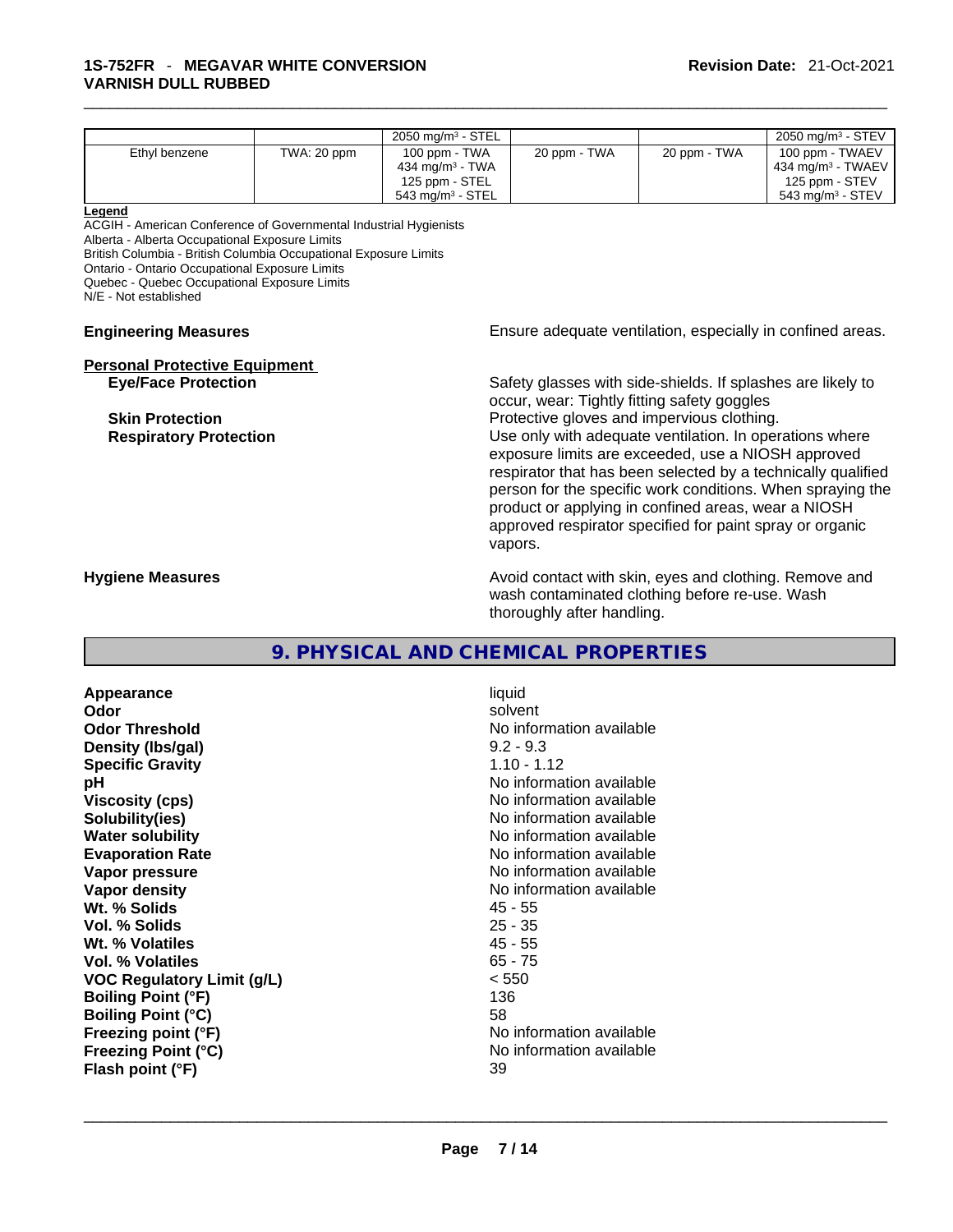|                                                                                                                                                                                                                                                                                                                              |                                                                                                                                                                                                                                                                                                                                                                                                                                                                                                                                                                               | 2050 mg/m <sup>3</sup> - STEL                                                                  |                                                                                                                                        |              | 2050 mg/m <sup>3</sup> - STEV                                                             |
|------------------------------------------------------------------------------------------------------------------------------------------------------------------------------------------------------------------------------------------------------------------------------------------------------------------------------|-------------------------------------------------------------------------------------------------------------------------------------------------------------------------------------------------------------------------------------------------------------------------------------------------------------------------------------------------------------------------------------------------------------------------------------------------------------------------------------------------------------------------------------------------------------------------------|------------------------------------------------------------------------------------------------|----------------------------------------------------------------------------------------------------------------------------------------|--------------|-------------------------------------------------------------------------------------------|
| Ethyl benzene                                                                                                                                                                                                                                                                                                                | TWA: 20 ppm                                                                                                                                                                                                                                                                                                                                                                                                                                                                                                                                                                   | 100 ppm - TWA<br>434 mg/m <sup>3</sup> - TWA<br>125 ppm - STEL<br>543 mg/m <sup>3</sup> - STEL | 20 ppm - TWA                                                                                                                           | 20 ppm - TWA | 100 ppm - TWAEV<br>434 mg/m <sup>3</sup> - TWAEV<br>125 ppm - STEV<br>543 mg/m $3 -$ STEV |
| Legend<br>ACGIH - American Conference of Governmental Industrial Hygienists<br>Alberta - Alberta Occupational Exposure Limits<br>British Columbia - British Columbia Occupational Exposure Limits<br>Ontario - Ontario Occupational Exposure Limits<br>Quebec - Quebec Occupational Exposure Limits<br>N/E - Not established |                                                                                                                                                                                                                                                                                                                                                                                                                                                                                                                                                                               |                                                                                                |                                                                                                                                        |              |                                                                                           |
| <b>Engineering Measures</b>                                                                                                                                                                                                                                                                                                  |                                                                                                                                                                                                                                                                                                                                                                                                                                                                                                                                                                               |                                                                                                | Ensure adequate ventilation, especially in confined areas.                                                                             |              |                                                                                           |
| <b>Eye/Face Protection</b><br><b>Skin Protection</b><br><b>Respiratory Protection</b>                                                                                                                                                                                                                                        | <b>Personal Protective Equipment</b><br>Safety glasses with side-shields. If splashes are likely to<br>occur, wear: Tightly fitting safety goggles<br>Protective gloves and impervious clothing.<br>Use only with adequate ventilation. In operations where<br>exposure limits are exceeded, use a NIOSH approved<br>respirator that has been selected by a technically qualified<br>person for the specific work conditions. When spraying the<br>product or applying in confined areas, wear a NIOSH<br>approved respirator specified for paint spray or organic<br>vapors. |                                                                                                |                                                                                                                                        |              |                                                                                           |
| <b>Hygiene Measures</b>                                                                                                                                                                                                                                                                                                      |                                                                                                                                                                                                                                                                                                                                                                                                                                                                                                                                                                               |                                                                                                | Avoid contact with skin, eyes and clothing. Remove and<br>wash contaminated clothing before re-use. Wash<br>thoroughly after handling. |              |                                                                                           |
|                                                                                                                                                                                                                                                                                                                              |                                                                                                                                                                                                                                                                                                                                                                                                                                                                                                                                                                               |                                                                                                | O DUVCICAL AND CUEMICAL DDODEDTIEC                                                                                                     |              |                                                                                           |

# **9. PHYSICAL AND CHEMICAL PROPERTIES**

**Appearance** liquid<br> **Odor** solver **Odor** solvent **Odor Threshold** No information available **Density (Ibs/gal)** 9.2 - 9.3<br> **Specific Gravity** 1.10 - 1.12 **Specific Gravity pH pH No** information available **Viscosity (cps) No information available No** information available **Solubility(ies)** No information available **Water solubility Water solubility Water solubility No information available Evaporation Rate No information available**<br> **Vapor pressure No information available**<br>
No information available **Vapor density No information available No information available Wt. % Solids** 45 - 55 **Vol. % Solids** 25 - 35 **Wt. % Volatiles Vol. % Volatiles** 65 - 75 **VOC Regulatory Limit (g/L)** < 550 **Boiling Point (°F)** 136 **Boiling Point (°C)** 58<br> **Freezing point (°F)** No **Freezing Point (°C)**<br> **Flash point (°F)**<br> **Flash point (°F)**<br> **Plash point (°F)**<br> **Plash point (°F) Flash point (°F)** 

**No information available No information available**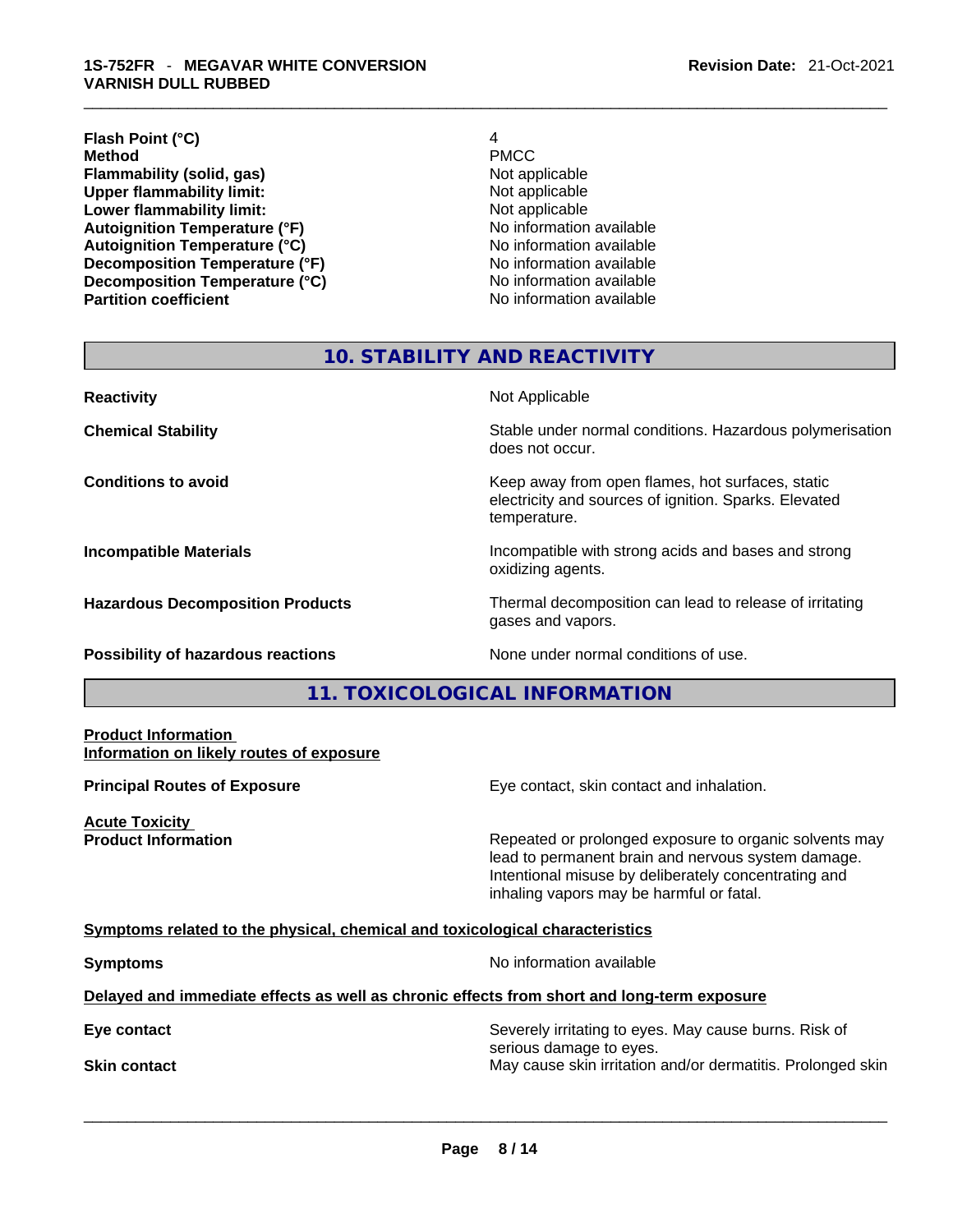# **Flash Point (°C)** 4 **Method** PMCC **Flammability (solid, gas)** Not applicable **Upper flammability limit:** Not applicable **Lower flammability limit:** Not applicable **Autoignition Temperature (°F)**<br> **Autoignition Temperature (°C)** No information available **Autoignition Temperature (°C) Decomposition Temperature (°F)**<br> **Decomposition Temperature (°C)** No information available **Decomposition Temperature (°C)**<br>Partition coefficient

**No information available** 

# **10. STABILITY AND REACTIVITY**

**Reactivity Not Applicable Not Applicable Not Applicable Chemical Stability Stability** Stable under normal conditions. Hazardous polymerisation does not occur. **Conditions to avoid EXECUTE:** The Metal Metal Metal Metal Metal Metal Metal Metal Metal Metal Metal Metal Metal Metal Metal Metal Metal Metal Metal Metal Metal Metal Metal Metal Metal Metal Metal Metal Metal Metal Metal electricity and sources of ignition. Sparks. Elevated temperature. **Incompatible Materials Incompatible with strong acids and bases and strong** oxidizing agents. **Hazardous Decomposition Products** Thermal decomposition can lead to release of irritating gases and vapors.

**Possibility of hazardous reactions** None under normal conditions of use.

# **11. TOXICOLOGICAL INFORMATION**

# **Product Information Information on likely routes of exposure**

**Acute Toxicity** 

**Principal Routes of Exposure Exposure** Eye contact, skin contact and inhalation.

**Product Information Repeated or prolonged exposure to organic solvents may** Repeated or prolonged exposure to organic solvents may lead to permanent brain and nervous system damage. Intentional misuse by deliberately concentrating and inhaling vapors may be harmful or fatal.

# **Symptoms related to the physical,chemical and toxicological characteristics**

**Symptoms Symptoms No information available** 

# **Delayed and immediate effects as well as chronic effects from short and long-term exposure**

**Eye contact Severely irritating to eyes. May cause burns. Risk of Severely irritating to eyes. May cause burns. Risk of** serious damage to eyes. **Skin contact May cause skin irritation and/or dermatitis. Prolonged skin Skin contact May cause skin irritation and/or dermatitis. Prolonged skin**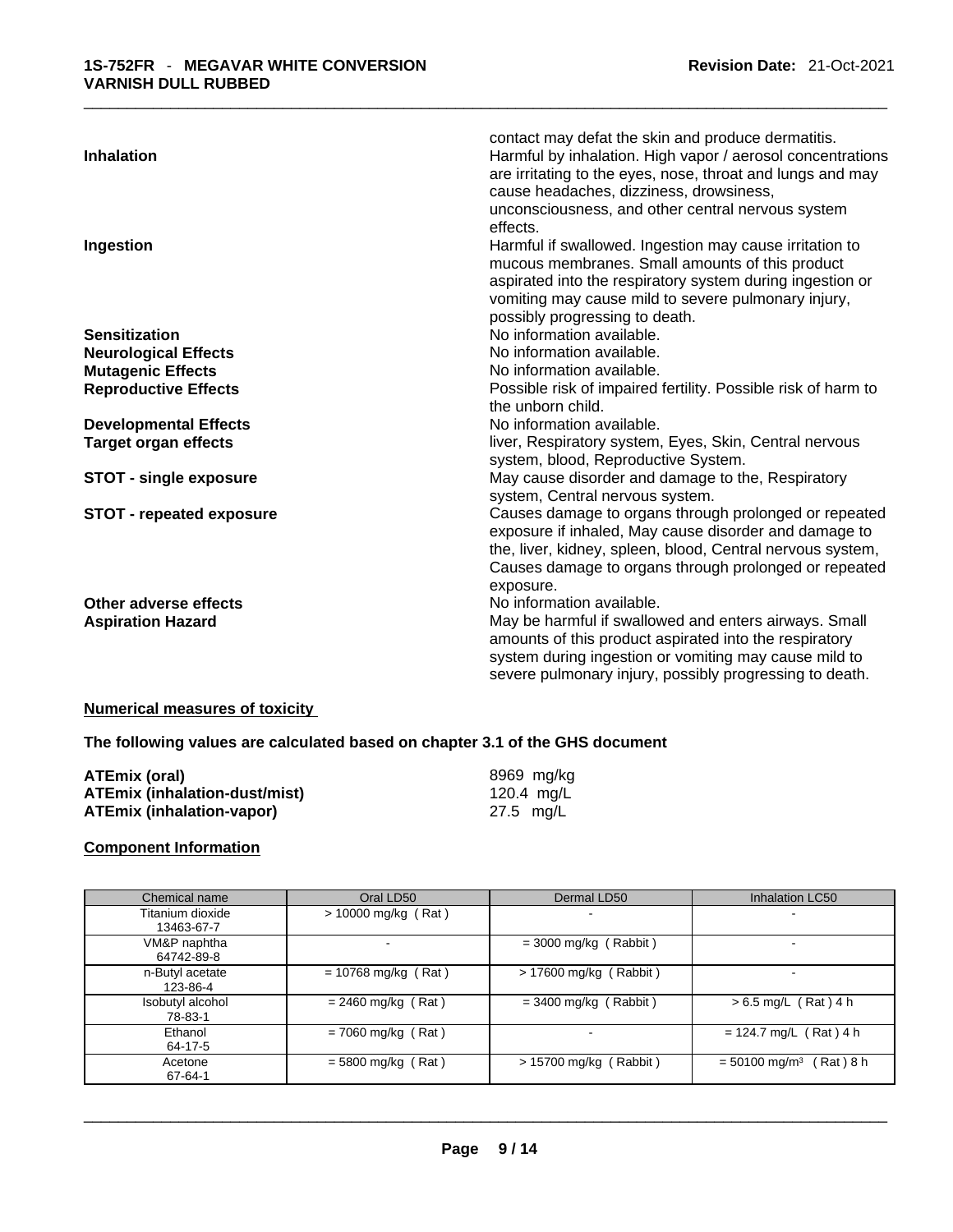|                                 | contact may defat the skin and produce dermatitis.            |
|---------------------------------|---------------------------------------------------------------|
| <b>Inhalation</b>               | Harmful by inhalation. High vapor / aerosol concentrations    |
|                                 | are irritating to the eyes, nose, throat and lungs and may    |
|                                 | cause headaches, dizziness, drowsiness,                       |
|                                 | unconsciousness, and other central nervous system             |
|                                 | effects.                                                      |
| Ingestion                       | Harmful if swallowed. Ingestion may cause irritation to       |
|                                 | mucous membranes. Small amounts of this product               |
|                                 | aspirated into the respiratory system during ingestion or     |
|                                 | vomiting may cause mild to severe pulmonary injury,           |
|                                 | possibly progressing to death.                                |
| <b>Sensitization</b>            | No information available.                                     |
| <b>Neurological Effects</b>     | No information available.                                     |
| <b>Mutagenic Effects</b>        | No information available.                                     |
| <b>Reproductive Effects</b>     | Possible risk of impaired fertility. Possible risk of harm to |
|                                 | the unborn child.                                             |
| <b>Developmental Effects</b>    | No information available.                                     |
| <b>Target organ effects</b>     | liver, Respiratory system, Eyes, Skin, Central nervous        |
|                                 | system, blood, Reproductive System.                           |
| <b>STOT - single exposure</b>   | May cause disorder and damage to the, Respiratory             |
|                                 | system, Central nervous system.                               |
| <b>STOT - repeated exposure</b> | Causes damage to organs through prolonged or repeated         |
|                                 | exposure if inhaled, May cause disorder and damage to         |
|                                 | the, liver, kidney, spleen, blood, Central nervous system,    |
|                                 | Causes damage to organs through prolonged or repeated         |
|                                 | exposure.                                                     |
| Other adverse effects           | No information available.                                     |
| <b>Aspiration Hazard</b>        | May be harmful if swallowed and enters airways. Small         |
|                                 | amounts of this product aspirated into the respiratory        |
|                                 | system during ingestion or vomiting may cause mild to         |
|                                 | severe pulmonary injury, possibly progressing to death.       |
|                                 |                                                               |

# **Numerical measures of toxicity**

# **The following values are calculated based on chapter 3.1 of the GHS document**

| <b>ATEmix (oral)</b>                 | 8969 mg/ka |
|--------------------------------------|------------|
| <b>ATEmix (inhalation-dust/mist)</b> | 120.4 mg/L |
| <b>ATEmix (inhalation-vapor)</b>     | 27.5 mg/L  |

# **Component Information**

| Chemical name    | Oral LD50             | Dermal LD50              | <b>Inhalation LC50</b>                  |
|------------------|-----------------------|--------------------------|-----------------------------------------|
| Titanium dioxide | > 10000 mg/kg (Rat)   |                          |                                         |
| 13463-67-7       |                       |                          |                                         |
| VM&P naphtha     |                       | $=$ 3000 mg/kg (Rabbit)  |                                         |
| 64742-89-8       |                       |                          |                                         |
| n-Butyl acetate  | $= 10768$ mg/kg (Rat) | $> 17600$ mg/kg (Rabbit) |                                         |
| 123-86-4         |                       |                          |                                         |
| Isobutyl alcohol | $= 2460$ mg/kg (Rat)  | $=$ 3400 mg/kg (Rabbit)  | $> 6.5$ mg/L (Rat) 4 h                  |
| 78-83-1          |                       |                          |                                         |
| Ethanol          | $= 7060$ mg/kg (Rat)  | -                        | $= 124.7$ mg/L (Rat) 4 h                |
| 64-17-5          |                       |                          |                                         |
| Acetone          | $= 5800$ mg/kg (Rat)  | $> 15700$ mg/kg (Rabbit) | $= 50100$ mg/m <sup>3</sup><br>(Rat)8 h |
| 67-64-1          |                       |                          |                                         |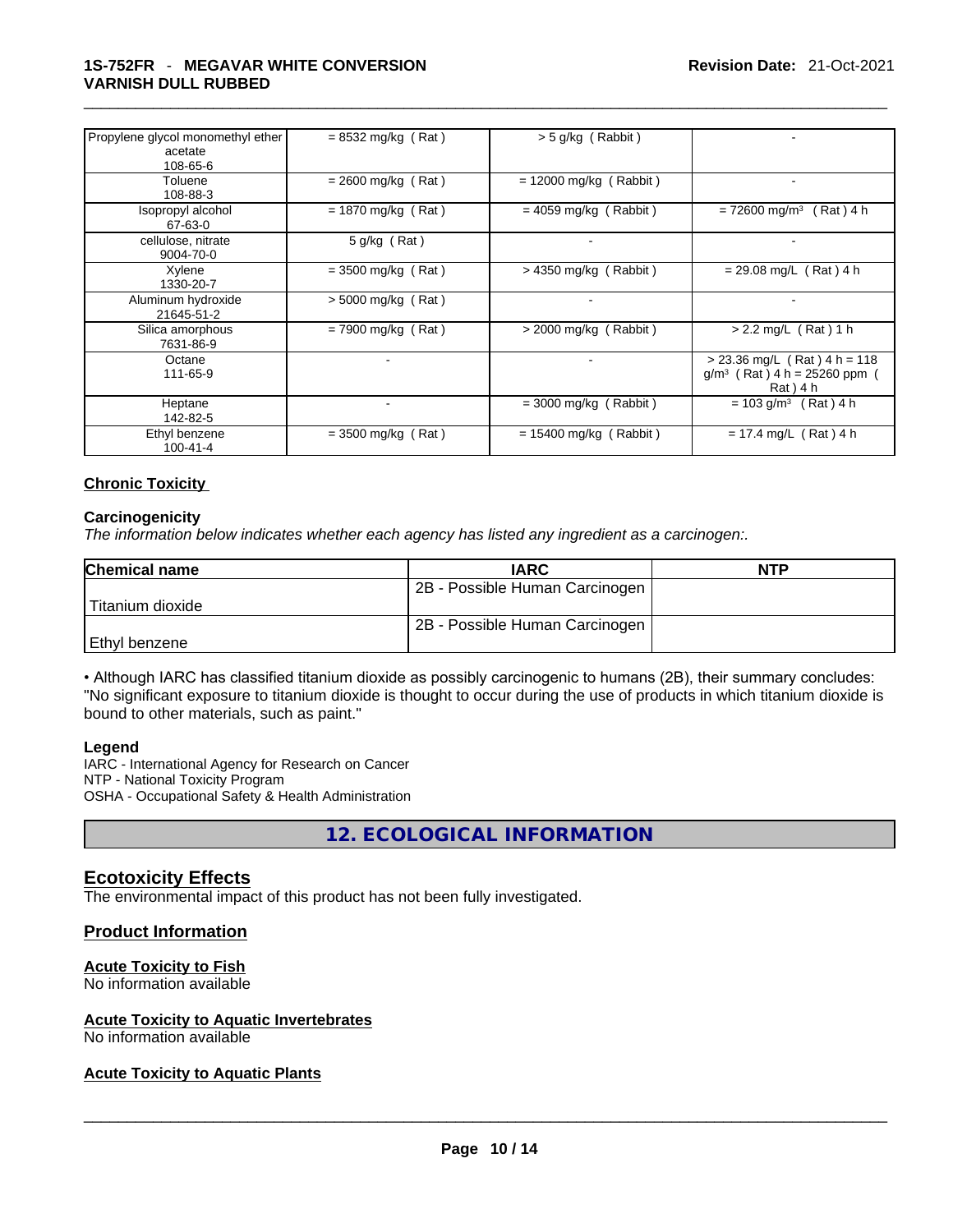| Propylene glycol monomethyl ether<br>acetate<br>108-65-6 | $= 8532$ mg/kg (Rat) | $>$ 5 g/kg (Rabbit)      |                                                                              |
|----------------------------------------------------------|----------------------|--------------------------|------------------------------------------------------------------------------|
| Toluene<br>108-88-3                                      | $= 2600$ mg/kg (Rat) | $= 12000$ mg/kg (Rabbit) |                                                                              |
| Isopropyl alcohol<br>67-63-0                             | $= 1870$ mg/kg (Rat) | $= 4059$ mg/kg (Rabbit)  | $= 72600$ mg/m <sup>3</sup><br>$(Rat)$ 4 h                                   |
| cellulose, nitrate<br>9004-70-0                          | $5$ g/kg (Rat)       |                          |                                                                              |
| Xylene<br>1330-20-7                                      | $=$ 3500 mg/kg (Rat) | $>$ 4350 mg/kg (Rabbit)  | $= 29.08$ mg/L (Rat) 4 h                                                     |
| Aluminum hydroxide<br>21645-51-2                         | $> 5000$ mg/kg (Rat) | $\blacksquare$           |                                                                              |
| Silica amorphous<br>7631-86-9                            | $= 7900$ mg/kg (Rat) | $>$ 2000 mg/kg (Rabbit)  | $> 2.2$ mg/L (Rat) 1 h                                                       |
| Octane<br>111-65-9                                       | ٠.                   | $\blacksquare$           | $> 23.36$ mg/L (Rat) 4 h = 118<br>$g/m^3$ (Rat) 4 h = 25260 ppm<br>Rat ) 4 h |
| Heptane<br>142-82-5                                      |                      | $=$ 3000 mg/kg (Rabbit)  | $= 103$ g/m <sup>3</sup> (Rat) 4 h                                           |
| Ethyl benzene<br>100-41-4                                | $=$ 3500 mg/kg (Rat) | $= 15400$ mg/kg (Rabbit) | $= 17.4$ mg/L (Rat) 4 h                                                      |

# **Chronic Toxicity**

### **Carcinogenicity**

*The information below indicates whether each agency has listed any ingredient as a carcinogen:.* 

| Chemical name      | <b>IARC</b>                    | <b>NTP</b> |
|--------------------|--------------------------------|------------|
|                    | 2B - Possible Human Carcinogen |            |
| l Titanium dioxide |                                |            |
|                    | 2B - Possible Human Carcinogen |            |
| Ethyl benzene      |                                |            |

• Although IARC has classified titanium dioxide as possibly carcinogenic to humans (2B), their summary concludes: "No significant exposure to titanium dioxide is thought to occur during the use of products in which titanium dioxide is bound to other materials, such as paint."

#### **Legend**

IARC - International Agency for Research on Cancer NTP - National Toxicity Program OSHA - Occupational Safety & Health Administration

**12. ECOLOGICAL INFORMATION** 

# **Ecotoxicity Effects**

The environmental impact of this product has not been fully investigated.

# **Product Information**

# **Acute Toxicity to Fish**

No information available

# **Acute Toxicity to Aquatic Invertebrates**

# No information available \_\_\_\_\_\_\_\_\_\_\_\_\_\_\_\_\_\_\_\_\_\_\_\_\_\_\_\_\_\_\_\_\_\_\_\_\_\_\_\_\_\_\_\_\_\_\_\_\_\_\_\_\_\_\_\_\_\_\_\_\_\_\_\_\_\_\_\_\_\_\_\_\_\_\_\_\_\_\_\_\_\_\_\_\_\_\_\_\_\_\_\_\_ **Acute Toxicity to Aquatic Plants**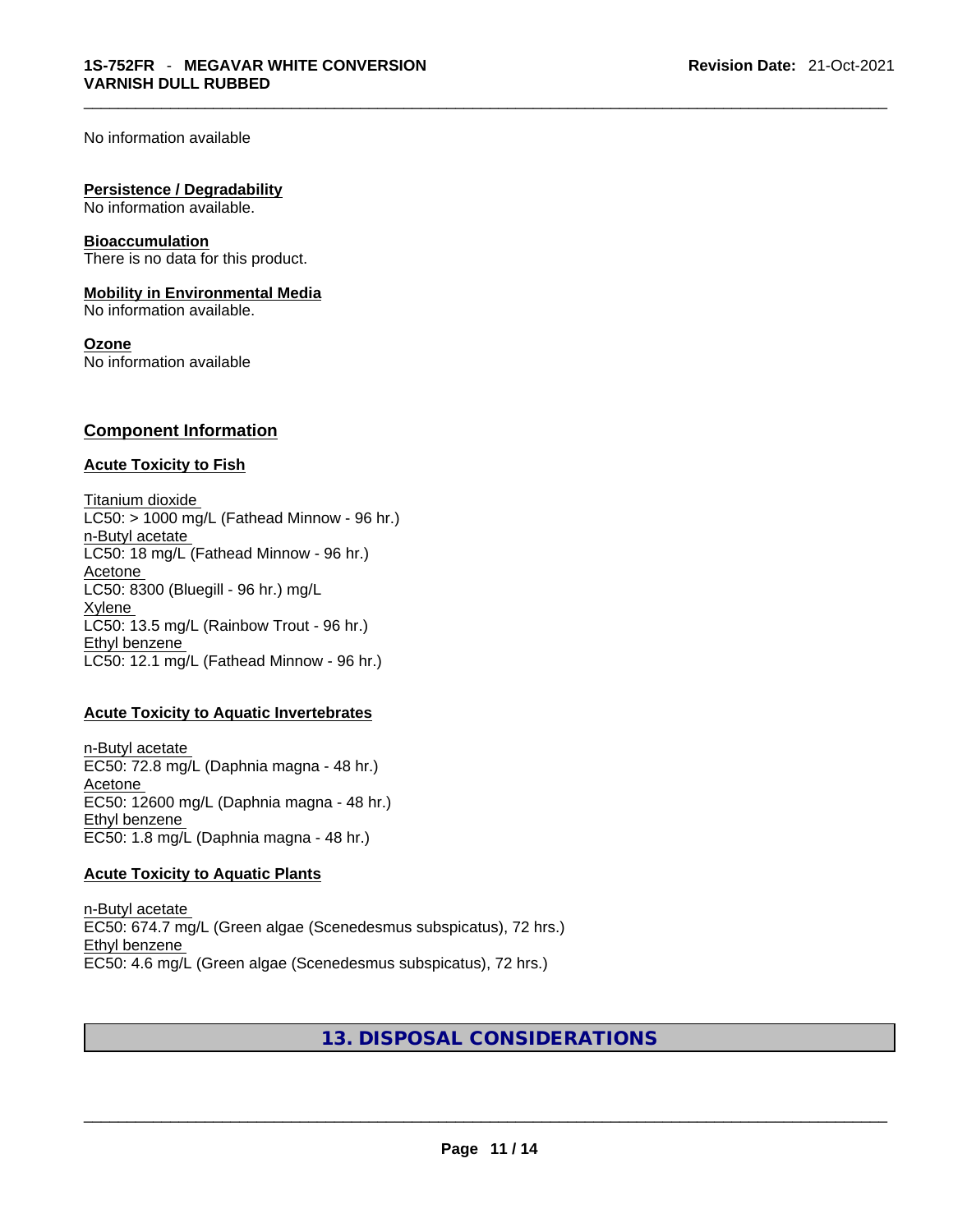No information available

### **Persistence / Degradability**

No information available.

### **Bioaccumulation**

There is no data for this product.

## **Mobility in Environmental Media**

No information available.

### **Ozone**

No information available

# **Component Information**

# **Acute Toxicity to Fish**

Titanium dioxide  $LC50:$  > 1000 mg/L (Fathead Minnow - 96 hr.) n-Butyl acetate LC50: 18 mg/L (Fathead Minnow - 96 hr.) **Acetone** LC50: 8300 (Bluegill - 96 hr.) mg/L Xylene LC50: 13.5 mg/L (Rainbow Trout - 96 hr.) Ethyl benzene LC50: 12.1 mg/L (Fathead Minnow - 96 hr.)

# **Acute Toxicity to Aquatic Invertebrates**

n-Butyl acetate EC50: 72.8 mg/L (Daphnia magna - 48 hr.) Acetone EC50: 12600 mg/L (Daphnia magna - 48 hr.) Ethyl benzene EC50: 1.8 mg/L (Daphnia magna - 48 hr.)

#### **Acute Toxicity to Aquatic Plants**

n-Butyl acetate EC50: 674.7 mg/L (Green algae (Scenedesmus subspicatus), 72 hrs.) Ethyl benzene EC50: 4.6 mg/L (Green algae (Scenedesmus subspicatus), 72 hrs.)

# **13. DISPOSAL CONSIDERATIONS**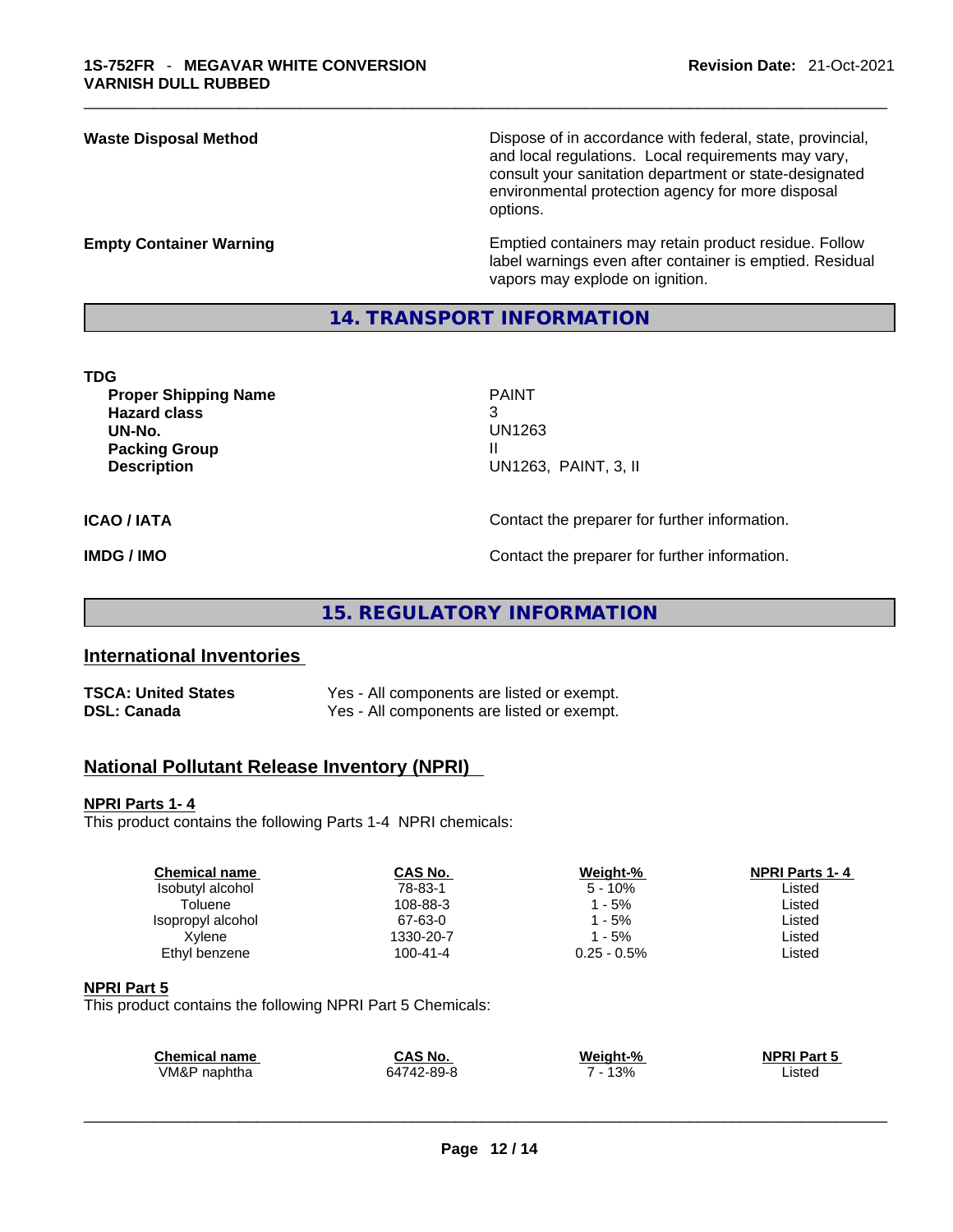**Waste Disposal Method** Dispose of in accordance with federal, state, provincial, and local regulations. Local requirements may vary, consult your sanitation department or state-designated environmental protection agency for more disposal options.

**Empty Container Warning <b>Emptied** Containers may retain product residue. Follow label warnings even after container is emptied. Residual vapors may explode on ignition.

# **14. TRANSPORT INFORMATION**

| <b>Proper Shipping Name</b><br><b>Hazard class</b><br>UN-No.<br><b>Packing Group</b><br><b>Description</b> | <b>PAINT</b><br>3<br>UN1263<br>UN1263, PAINT, 3, II |
|------------------------------------------------------------------------------------------------------------|-----------------------------------------------------|
| ICAO / IATA                                                                                                | Contact the preparer for further information.       |
| <b>IMDG / IMO</b>                                                                                          | Contact the preparer for further information.       |

**15. REGULATORY INFORMATION** 

# **International Inventories**

| <b>TSCA: United States</b> | Yes - All components are listed or exempt. |
|----------------------------|--------------------------------------------|
| <b>DSL: Canada</b>         | Yes - All components are listed or exempt. |

# **National Pollutant Release Inventory (NPRI)**

# **NPRI Parts 1- 4**

This product contains the following Parts 1-4 NPRI chemicals:

| <b>Chemical name</b> | CAS No.   | Weight-%       | <b>NPRI Parts 1-4</b> |  |
|----------------------|-----------|----------------|-----------------------|--|
| Isobutyl alcohol     | 78-83-1   | $5 - 10%$      | Listed                |  |
| Toluene              | 108-88-3  | l - 5%         | Listed                |  |
| Isopropyl alcohol    | 67-63-0   | l - 5%         | Listed                |  |
| Xvlene               | 1330-20-7 | $1 - 5%$       | Listed                |  |
| Ethyl benzene        | 100-41-4  | $0.25 - 0.5\%$ | Listed                |  |
|                      |           |                |                       |  |

# **NPRI Part 5**

This product contains the following NPRI Part 5 Chemicals:

| <b>Chemical name</b> | <b>CAS No.</b>                | Weiaht-% | NPRI <sup>T</sup><br>Dort.<br>$\overline{\phantom{a}}$ |  |
|----------------------|-------------------------------|----------|--------------------------------------------------------|--|
| √M&P<br>naphtha      | '2-89-8<br>$\sqrt{2}$<br>6474 | 13%      | Listed<br>.                                            |  |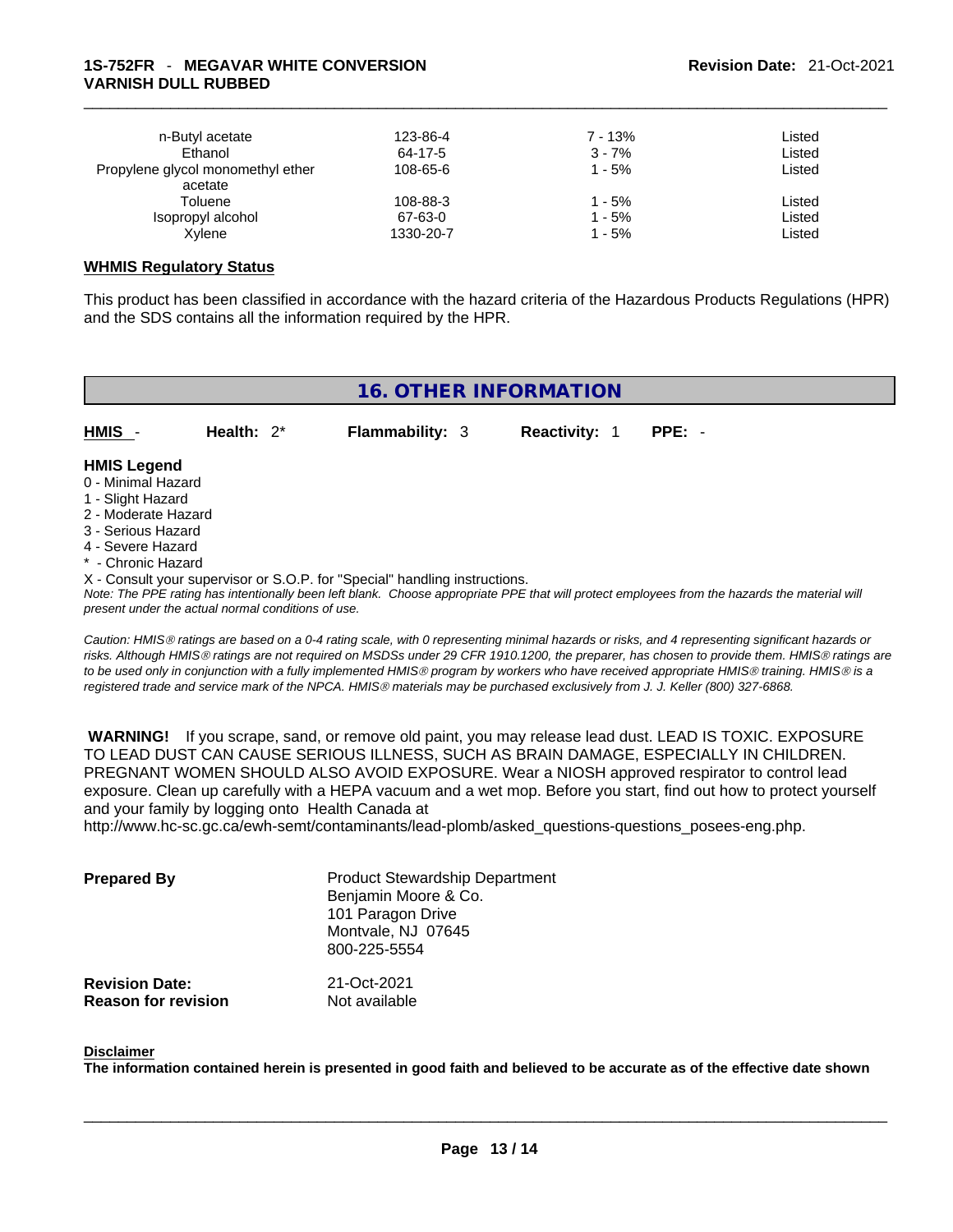| n-Butyl acetate<br>Ethanol                   | 123-86-4<br>64-17-5 | $7 - 13%$<br>$3 - 7%$ | Listed<br>Listed |
|----------------------------------------------|---------------------|-----------------------|------------------|
| Propylene glycol monomethyl ether<br>acetate | 108-65-6            | 1 - 5%                | Listed           |
| Toluene                                      | 108-88-3            | 1 - 5%                | Listed           |
| Isopropyl alcohol                            | 67-63-0             | 1 - 5%                | Listed           |
| Xylene                                       | 1330-20-7           | 1 - 5%                | Listed           |

# **WHMIS Regulatory Status**

This product has been classified in accordance with the hazard criteria of the Hazardous Products Regulations (HPR) and the SDS contains all the information required by the HPR.

| <b>16. OTHER INFORMATION</b>                                                                                                                                                                                                                                                                                                                                                                                                               |               |                        |                      |          |
|--------------------------------------------------------------------------------------------------------------------------------------------------------------------------------------------------------------------------------------------------------------------------------------------------------------------------------------------------------------------------------------------------------------------------------------------|---------------|------------------------|----------------------|----------|
|                                                                                                                                                                                                                                                                                                                                                                                                                                            |               |                        |                      |          |
| HMIS                                                                                                                                                                                                                                                                                                                                                                                                                                       | Health: $2^*$ | <b>Flammability: 3</b> | <b>Reactivity: 1</b> | $PPE: -$ |
| <b>HMIS Legend</b><br>0 - Minimal Hazard<br>1 - Slight Hazard<br>2 - Moderate Hazard<br>3 - Serious Hazard<br>4 - Severe Hazard<br>* - Chronic Hazard<br>X - Consult your supervisor or S.O.P. for "Special" handling instructions.<br>Note: The PPE rating has intentionally been left blank. Choose appropriate PPE that will protect employees from the hazards the material will<br>present under the actual normal conditions of use. |               |                        |                      |          |
| On the UNIO setting and band on a O. A setting and with O secure catter setting bandle as states and A secure continuation that the number of                                                                                                                                                                                                                                                                                              |               |                        |                      |          |

*Caution: HMISÒ ratings are based on a 0-4 rating scale, with 0 representing minimal hazards or risks, and 4 representing significant hazards or risks. Although HMISÒ ratings are not required on MSDSs under 29 CFR 1910.1200, the preparer, has chosen to provide them. HMISÒ ratings are to be used only in conjunction with a fully implemented HMISÒ program by workers who have received appropriate HMISÒ training. HMISÒ is a registered trade and service mark of the NPCA. HMISÒ materials may be purchased exclusively from J. J. Keller (800) 327-6868.* 

 **WARNING!** If you scrape, sand, or remove old paint, you may release lead dust. LEAD IS TOXIC. EXPOSURE TO LEAD DUST CAN CAUSE SERIOUS ILLNESS, SUCH AS BRAIN DAMAGE, ESPECIALLY IN CHILDREN. PREGNANT WOMEN SHOULD ALSO AVOID EXPOSURE. Wear a NIOSH approved respirator to control lead exposure. Clean up carefully with a HEPA vacuum and a wet mop. Before you start, find out how to protect yourself and your family by logging onto Health Canada at

http://www.hc-sc.gc.ca/ewh-semt/contaminants/lead-plomb/asked\_questions-questions\_posees-eng.php.

| <b>Prepared By</b>         | <b>Product Stewardship Department</b><br>Benjamin Moore & Co.<br>101 Paragon Drive<br>Montvale, NJ 07645<br>800-225-5554 |
|----------------------------|--------------------------------------------------------------------------------------------------------------------------|
| <b>Revision Date:</b>      | 21-Oct-2021                                                                                                              |
| <b>Reason for revision</b> | Not available                                                                                                            |

#### **Disclaimer**

The information contained herein is presented in good faith and believed to be accurate as of the effective date shown